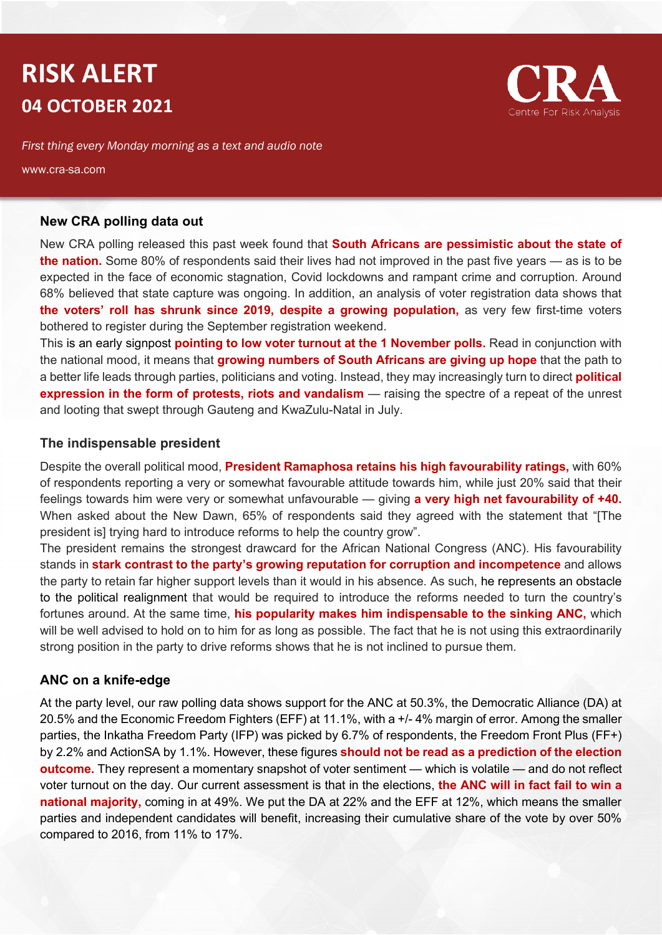# **RISK ALERT 04 OCTOBER 2021**



*First thing every Monday morning as a text and audio note*

www.cra-sa.com

#### **New CRA polling data out**

New CRA polling released this past week found that **South Africans are pessimistic about the state of the nation.** Some 80% of respondents said their lives had not improved in the past five years — as is to be expected in the face of economic stagnation, Covid lockdowns and rampant crime and corruption. Around 68% believed that state capture was ongoing. In addition, an analysis of voter registration data shows that **the voters' roll has shrunk since 2019, despite a growing population,** as very few first-time voters bothered to register during the September registration weekend.

This is an early signpost **pointing to low voter turnout at the 1 November polls.** Read in conjunction with the national mood, it means that **growing numbers of South Africans are giving up hope** that the path to a better life leads through parties, politicians and voting. Instead, they may increasingly turn to direct **political expression in the form of protests, riots and vandalism** — raising the spectre of a repeat of the unrest and looting that swept through Gauteng and KwaZulu-Natal in July.

#### **The indispensable president**

Despite the overall political mood, **President Ramaphosa retains his high favourability ratings,** with 60% of respondents reporting a very or somewhat favourable attitude towards him, while just 20% said that their feelings towards him were very or somewhat unfavourable — giving **a very high net favourability of +40.** When asked about the New Dawn, 65% of respondents said they agreed with the statement that "[The president is] trying hard to introduce reforms to help the country grow".

The president remains the strongest drawcard for the African National Congress (ANC). His favourability stands in **stark contrast to the party's growing reputation for corruption and incompetence** and allows the party to retain far higher support levels than it would in his absence. As such, he represents an obstacle to the political realignment that would be required to introduce the reforms needed to turn the country's fortunes around. At the same time, **his popularity makes him indispensable to the sinking ANC,** which will be well advised to hold on to him for as long as possible. The fact that he is not using this extraordinarily strong position in the party to drive reforms shows that he is not inclined to pursue them.

### **ANC on a knife-edge**

At the party level, our raw polling data shows support for the ANC at 50.3%, the Democratic Alliance (DA) at 20.5% and the Economic Freedom Fighters (EFF) at 11.1%, with a +/- 4% margin of error. Among the smaller parties, the Inkatha Freedom Party (IFP) was picked by 6.7% of respondents, the Freedom Front Plus (FF+) by 2.2% and ActionSA by 1.1%. However, these figures **should not be read as a prediction of the election outcome.** They represent a momentary snapshot of voter sentiment — which is volatile — and do not reflect voter turnout on the day. Our current assessment is that in the elections, **the ANC will in fact fail to win a national majority,** coming in at 49%. We put the DA at 22% and the EFF at 12%, which means the smaller parties and independent candidates will benefit, increasing their cumulative share of the vote by over 50% compared to 2016, from 11% to 17%.